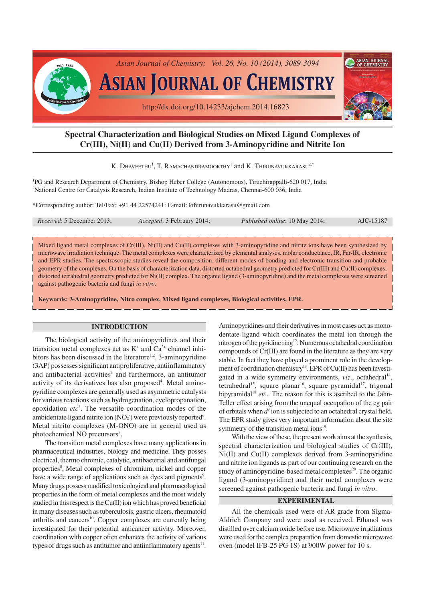

# **Spectral Characterization and Biological Studies on Mixed Ligand Complexes of Cr(III), Ni(II) and Cu(II) Derived from 3-Aminopyridine and Nitrite Ion**

K. DHAVEETHU<sup>1</sup>, T. RAMACHANDRAMOORTHY<sup>1</sup> and K. THIRUNAVUKKARASU<sup>2,\*</sup>

<sup>1</sup>PG and Research Department of Chemistry, Bishop Heber College (Autonomous), Tiruchirappalli-620 017, India <sup>2</sup>National Centre for Catalysis Research, Indian Institute of Technology Madras, Chennai-600 036, India

\*Corresponding author: Tel/Fax: +91 44 22574241: E-mail: kthirunavukkarasu@gmail.com

| <i>Received:</i> 5 December 2013; | Accepted: 3 February 2014; | Published online: 10 May 2014; | AJC-15187 |
|-----------------------------------|----------------------------|--------------------------------|-----------|
|                                   |                            |                                |           |

Mixed ligand metal complexes of Cr(III), Ni(II) and Cu(II) complexes with 3-aminopyridine and nitrite ions have been synthesized by microwave irradiation technique. The metal complexes were characterized by elemental analyses, molar conductance, IR, Far-IR, electronic and EPR studies. The spectroscopic studies reveal the composition, different modes of bonding and electronic transition and probable geometry of the complexes. On the basis of characterization data, distorted octahedral geometry predicted for Cr(III) and Cu(II) complexes; distorted tetrahedral geometry predicted for Ni(II) complex. The organic ligand (3-aminopyridine) and the metal complexes were screened against pathogenic bacteria and fungi *in vitro*.

**Keywords: 3-Aminopyridine, Nitro complex, Mixed ligand complexes, Biological activities, EPR.**

## **INTRODUCTION**

The biological activity of the aminopyridines and their transition metal complexes act as  $K^+$  and  $Ca^{2+}$  channel inhibitors has been discussed in the literature<sup>1,2</sup>. 3-aminopyridine (3AP) possesses significant antiproliferative, antiinflammatory and antibacterial activities<sup>3</sup> and furthermore, an antitumor activity of its derivatives has also proposed<sup>4</sup>. Metal aminopyridine complexes are generally used as asymmetric catalysts for various reactions such as hydrogenation, cyclopropanation, epoxidation *etc*<sup>5</sup> . The versatile coordination modes of the ambidentate ligand nitrite ion  $(NO<sub>2</sub>)$  were previously reported<sup>6</sup>. Metal nitrito complexes (M-ONO) are in general used as photochemical NO precursors<sup>7</sup>.

The transition metal complexes have many applications in pharmaceutical industries, biology and medicine. They posses electrical, thermo chromic, catalytic, antibacterial and antifungal properties<sup>8</sup>, Metal complexes of chromium, nickel and copper have a wide range of applications such as dyes and pigments<sup>9</sup>. Many drugs possess modified toxicological and pharmacological properties in the form of metal complexes and the most widely studied in this respect is the Cu(II) ion which has proved beneficial in many diseases such as tuberculosis, gastric ulcers, rheumatoid arthritis and cancers<sup>10</sup>. Copper complexes are currently being investigated for their potential anticancer activity. Moreover, coordination with copper often enhances the activity of various types of drugs such as antitumor and antiinflammatory agents<sup>11</sup>.

Aminopyridines and their derivatives in most cases act as monodentate ligand which coordinates the metal ion through the nitrogen of the pyridine ring<sup>12</sup>. Numerous octahedral coordination compounds of Cr(III) are found in the literature as they are very stable. In fact they have played a prominent role in the development of coordination chemistry<sup>13</sup>. EPR of Cu(II) has been investigated in a wide symmetry environments, viz., octahedral<sup>14</sup>, tetrahedral<sup>15</sup>, square planar<sup>16</sup>, square pyramidal<sup>17</sup>, trigonal bipyramidal<sup>18</sup> etc.. The reason for this is ascribed to the Jahn-Teller effect arising from the unequal occupation of the eg pair of orbitals when  $d^{\delta}$  ion is subjected to an octahedral crystal field. The EPR study gives very important information about the site symmetry of the transition metal ions<sup>19</sup>.

With the view of these, the present work aims at the synthesis, spectral characterization and biological studies of Cr(III), Ni(II) and Cu(II) complexes derived from 3-aminopyridine and nitrite ion ligands as part of our continuing research on the study of aminopyridine-based metal complexes<sup>20</sup>. The organic ligand (3-aminopyridine) and their metal complexes were screened against pathogenic bacteria and fungi *in vitro*.

### **EXPERIMENTAL**

All the chemicals used were of AR grade from Sigma-Aldrich Company and were used as received. Ethanol was distilled over calcium oxide before use. Microwave irradiations were used for the complex preparation from domestic microwave oven (model IFB-25 PG 1S) at 900W power for 10 s.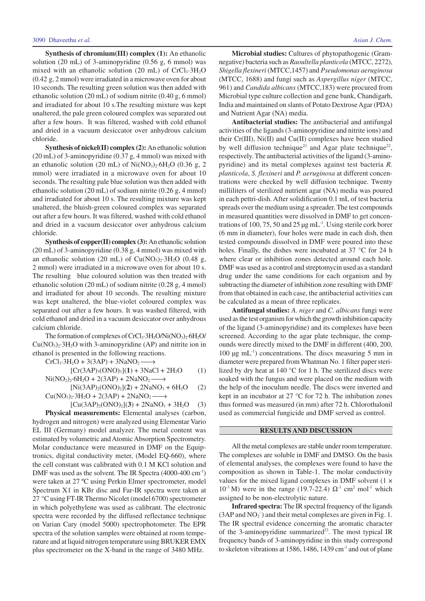**Synthesis of chromium(III) complex (1):** An ethanolic solution (20 mL) of 3-aminopyridine (0.56 g, 6 mmol) was mixed with an ethanolic solution (20 mL) of  $CrCl<sub>3</sub>·3H<sub>2</sub>O$ (0.42 g, 2 mmol) were irradiated in a microwave oven for about 10 seconds. The resulting green solution was then added with ethanolic solution (20 mL) of sodium nitrite (0.40 g, 6 mmol) and irradiated for about 10 s.The resulting mixture was kept unaltered, the pale green coloured complex was separated out after a few hours. It was filtered, washed with cold ethanol and dried in a vacuum desiccator over anhydrous calcium chloride.

**Synthesis of nickel(II) complex (2):** An ethanolic solution (20 mL) of 3-aminopyridine (0.37 g, 4 mmol) was mixed with an ethanolic solution (20 mL) of  $Ni(NO<sub>3</sub>)<sub>2</sub>·6H<sub>2</sub>O$  (0.36 g, 2 mmol) were irradiated in a microwave oven for about 10 seconds. The resulting pale blue solution was then added with ethanolic solution (20 mL) of sodium nitrite (0.26 g, 4 mmol) and irradiated for about 10 s. The resulting mixture was kept unaltered, the bluish-green coloured complex was separated out after a few hours. It was filtered, washed with cold ethanol and dried in a vacuum desiccator over anhydrous calcium chloride.

**Synthesis of copper(II) complex (3):**An ethanolic solution (20 mL) of 3-aminopyridine (0.38 g, 4 mmol) was mixed with an ethanolic solution (20 mL) of  $Cu(NO<sub>3</sub>)<sub>2</sub>·3H<sub>2</sub>O$  (0.48 g, 2 mmol) were irradiated in a microwave oven for about 10 s. The resulting blue coloured solution was then treated with ethanolic solution (20 mL) of sodium nitrite (0.28 g, 4 mmol) and irradiated for about 10 seconds. The resulting mixture was kept unaltered, the blue-violet coloured complex was separated out after a few hours. It was washed filtered, with cold ethanol and dried in a vacuum desiccator over anhydrous calcium chloride.

The formation of complexes of CrCl<sub>3</sub>·3H<sub>2</sub>O/Ni(NO<sub>3</sub>)<sub>2</sub>·6H<sub>2</sub>O/  $Cu(NO<sub>3</sub>)<sub>2</sub>·3H<sub>2</sub>O$  with 3-aminopyridine (AP) and nitrite ion in ethanol is presented in the following reactions.

$$
CrCl3·3H2O + 3(3AP) + 3NaNO2 →\n[Cr(3AP)3(ONO)3](1) + 3NaCl + 2H2O (1)\nNi(NO2)2·6H2O + 2(3AP) + 2NaNO2 →\n[Ni(3AP)2(ONO)2](2) + 2NaNO3 + 6H2O (2)
$$

$$
Cu(NO3)23H2O + 2(3AP) + 2NaNO2 \longrightarrow
$$

$$
[Cu(3AP)2(ONO)2](3) + 2NaNO3 + 3H2O (3)
$$

**Physical measurements:** Elemental analyses (carbon, hydrogen and nitrogen) were analyzed using Elementar Vario EL III (Germany) model analyzer. The metal content was estimated by volumetric and Atomic Absorption Spectrometry. Molar conductance were measured in DMF on the Equiptronics, digital conductivity meter, (Model EQ-660), where the cell constant was calibrated with 0.1 M KCl solution and DMF was used as the solvent. The IR Spectra (4000-400 cm<sup>-1</sup>) were taken at 27 ºC using Perkin Elmer spectrometer, model Spectrum X1 in KBr disc and Far-IR spectra were taken at 27 °C using FT-IR Thermo Nicolet (model 6700) spectrometer in which polyethylene was used as calibrant. The electronic spectra were recorded by the diffused reflectance technique on Varian Cary (model 5000) spectrophotometer. The EPR spectra of the solution samples were obtained at room temperature and at liquid nitrogen temperature using BRUKER EMX plus spectrometer on the X-band in the range of 3480 MHz.

**Microbial studies:** Cultures of phytopathogenic (Gramnegative) bacteria such as *Raoultella planticola* (MTCC, 2272), *Shigella flexineri* (MTCC,1457) and *Pseudomonas aeruginosa* (MTCC, 1688) and fungi such as *Aspergillus niger* (MTCC, 961) and *Candida albicans* (MTCC,183) were procured from Microbial type culture collection and gene bank, Chandigarh,

India and maintained on slants of Potato Dextrose Agar (PDA)

and Nutrient Agar (NA) media. **Antibacterial studies:** The antibacterial and antifungal activities of the ligands (3-aminopyridine and nitrite ions) and their Cr(III), Ni(II) and Cu(II) complexes have been studied by well diffusion technique<sup>21</sup> and Agar plate technique<sup>22</sup>, respectively. The antibacterial activities of the ligand (3-aminopyridine) and its metal complexes against test bacteria *R. planticola*, *S. flexineri* and *P. aeruginosa* at different concentrations were checked by well diffusion technique. Twenty milliliters of sterilized nutrient agar (NA) media was poured in each pettri-dish. After solidification 0.1 mL of test bacteria spreads over the medium using a spreader. The test compounds in measured quantities were dissolved in DMF to get concentrations of 100, 75, 50 and 25 µg mL-1. Using sterile cork borer (6 mm in diameter), four holes were made in each dish, then tested compounds dissolved in DMF were poured into these holes. Finally, the dishes were incubated at 37 °C for 24 h where clear or inhibition zones detected around each hole. DMF was used as a control and streptomycin used as a standard drug under the same conditions for each organism and by subtracting the diameter of inhibition zone resulting with DMF from that obtained in each case, the antibacterial activities can be calculated as a mean of three replicates.

**Antifungal studies:** *A. niger* and *C. albicans* fungi were used as the test organism for which the growth inhibition capacity of the ligand (3-aminopyridine) and its complexes have been screened. According to the agar plate technique, the compounds were directly mixed to the DMF in different (400, 200, 100  $\mu$ g mL<sup>-1</sup>) concentrations. The discs measuring 5 mm in diameter were prepared from Whatman No. 1 filter paper sterilized by dry heat at 140 °C for 1 h. The sterilized discs were soaked with the fungus and were placed on the medium with the help of the inoculum needle. The discs were inverted and kept in an incubator at 27 °C for 72 h. The inhibation zones thus formed was measured (in mm) after 72 h. Chlorothalonil used as commercial fungicide and DMF served as control.

#### **RESULTS AND DISCUSSION**

All the metal complexes are stable under room temperature. The complexes are soluble in DMF and DMSO. On the basis of elemental analyses, the complexes were found to have the composition as shown in Table-1. The molar conductivity values for the mixed ligand complexes in DMF solvent  $(1 \times$  $10^{-3}$  M) were in the range (19.7-22.4)  $\Omega^{-1}$  cm<sup>2</sup> mol<sup>-1</sup> which assigned to be non-electrolytic nature.

**Infrared spectra:** The IR spectral frequency of the ligands  $(3AP \text{ and } NO<sub>2</sub>^-)$  and their metal complexes are given in Fig. 1. The IR spectral evidence concerning the aromatic character of the 3-aminopyridine summarized $^{23}$ . The most typical IR frequency bands of 3-aminopyridine in this study correspond to skeleton vibrations at 1586, 1486, 1439 cm<sup>-1</sup> and out of plane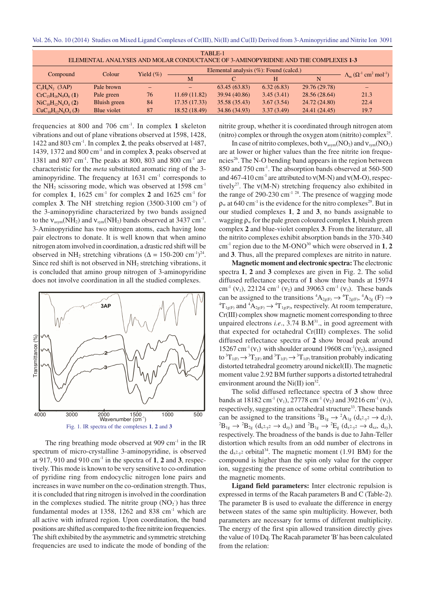Vol. 26, No. 10 (2014)Studies on Mixed Ligand Complexes of Cr(III), Ni(II) and Cu(II) Derived from 3-Aminopyridine and Nitrite Ion 3091

| TABLE-1<br>ELEMENTAL ANALYSES AND MOLAR CONDUCTANCE OF 3-AMINOPYRIDINE AND THE COMPLEXES 1-3 |              |                        |                                        |               |            |               |                                                                      |
|----------------------------------------------------------------------------------------------|--------------|------------------------|----------------------------------------|---------------|------------|---------------|----------------------------------------------------------------------|
|                                                                                              |              | Yield $(\%)$<br>Colour | Elemental analysis (%): Found (calcd.) |               |            |               |                                                                      |
| Compound                                                                                     |              |                        | M                                      |               | Н          | N             | $\Lambda_{\rm m}$ $(\Omega^{-1}$ cm <sup>2</sup> mol <sup>-1</sup> ) |
| $C_5H_6N_2$ (3AP)                                                                            | Pale brown   | $\qquad \qquad -$      |                                        | 63.45(63.83)  | 6.32(6.83) | 29.76 (29.78) |                                                                      |
| $CrC_{15}H_{18}N_9O_6(1)$                                                                    | Pale green   | 76                     | 11.69 (11.82)                          | 39.94 (40.86) | 3.45(3.41) | 28.56 (28.64) | 21.3                                                                 |
| $\text{NiC}_{10}\text{H}_{12}\text{N}_{6}\text{O}_{4}$ (2)                                   | Bluish green | 84                     | 17.35(17.33)                           | 35.58 (35.43) | 3.67(3.54) | 24.72 (24.80) | 22.4                                                                 |
| $CuC_{10}H_{12}N_6O_4$ (3)                                                                   | Blue violet  | 87                     | 18.52 (18.49)                          | 34.86 (34.93) | 3.37(3.49) | 24.41 (24.45) | 19.7                                                                 |

frequencies at 800 and 706 cm-1. In complex **1** skeleton vibrations and out of plane vibrations observed at 1598, 1428, 1422 and 803 cm-1. In complex **2**, the peaks observed at 1487, 1439, 1372 and 800 cm-1 and in complex **3**, peaks observed at 1381 and 807 cm-1 . The peaks at 800, 803 and 800 cm-1 are characteristic for the *meta* substituted aromatic ring of the 3 aminopyridine. The frequency at  $1631 \text{ cm}^{-1}$  corresponds to the NH<sub>2</sub> scissoring mode, which was observed at  $1598 \text{ cm}^{-1}$ for complex **1**, 1625 cm-1 for complex **2** and 1625 cm-1 for complex 3. The NH stretching region (3500-3100 cm<sup>-1</sup>) of the 3-aminopyridine characterized by two bands assigned to the  $v_{\text{asym}}(NH_2)$  and  $v_{\text{sym}}(NH_2)$  bands observed at 3437 cm<sup>-1</sup>. 3-Aminopyridine has two nitrogen atoms, each having lone pair electrons to donate. It is well known that when amino nitrogen atom involved in coordination, a drastic red shift will be observed in NH<sub>2</sub> stretching vibrations ( $\Delta = 150{\text -}200 \text{ cm}^{-1}$ )<sup>24</sup>. Since red shift is not observed in NH<sub>2</sub> stretching vibrations, it is concluded that amino group nitrogen of 3-aminopyridine does not involve coordination in all the studied complexes.



The ring breathing mode observed at  $909 \text{ cm}^{-1}$  in the IR spectrum of micro-crystalline 3-aminopyridine, is observed at 917, 910 and 910 cm-1 in the spectra of **1**, **2** and **3**, respectively. This mode is known to be very sensitive to co-ordination of pyridine ring from endocyclic nitrogen lone pairs and increases in wave number on the co-ordination strength. Thus, it is concluded that ring nitrogen is involved in the coordination in the complexes studied. The nitrite group  $(NO<sub>2</sub>)$  has three fundamental modes at 1358, 1262 and 838  $cm<sup>-1</sup>$  which are all active with infrared region. Upon coordination, the band positions are shifted as compared to the free nitrite ion frequencies. The shift exhibited by the asymmetric and symmetric stretching frequencies are used to indicate the mode of bonding of the

nitrite group, whether it is coordinated through nitrogen atom (nitro) complex or through the oxygen atom (nitrito) complex 25 .

In case of nitrito complexes, both  $v_{asym}(NO_2)$  and  $v_{sym}(NO_2)$ are at lower or higher values than the free nitrite ion frequencies<sup>26</sup>. The N-O bending band appears in the region between 850 and 750 cm-1 . The absorption bands observed at 560-500 and 467-410 cm<sup>-1</sup> are attributed to  $v(M-N)$  and  $v(M-O)$ , respectively<sup>27</sup>. The  $v(M-N)$  stretching frequency also exhibited in the range of 290-230 cm<sup>-1 28</sup>. The presence of wagging mode  $\rho_w$  at 640 cm<sup>-1</sup> is the evidence for the nitro complexes<sup>29</sup>. But in our studied complexes **1**, **2** and **3**, no bands assignable to wagging  $\rho_w$  for the pale green coloured complex 1, bluish green complex **2** and blue-violet complex **3**. From the literature, all the nitrito complexes exhibit absorption bands in the 370-340 cm-1 region due to the M-ONO<sup>30</sup> which were observed in **1**, **2** and **3**. Thus, all the prepared complexes are nitrito in nature.

**Magnetic moment and electronic spectra:** The electronic spectra **1**, **2** and **3** complexes are given in Fig. 2. The solid diffused reflectance spectra of **1** show three bands at 15974 cm<sup>-1</sup> (v<sub>1</sub>), 22124 cm<sup>-1</sup> (v<sub>2</sub>) and 39063 cm<sup>-1</sup> (v<sub>3</sub>). These bands can be assigned to the transitions  ${}^4A_{2g(F)} \rightarrow {}^4T_{2g(F)}$ ,  ${}^4A_{2g}(F) \rightarrow$  ${}^{4}T_{1g(F)}$  and  ${}^{4}A_{2g(F)} \rightarrow {}^{4}T_{1g(P)}$ , respectively. At room temperature, Cr(III) complex show magnetic moment corresponding to three unpaired electrons *i.e.*, 3.74 B.M<sup>31</sup>., in good agreement with that expected for octahedral Cr(III) complexes. The solid diffused reflectance spectra of **2** show broad peak around 15267 cm<sup>-1</sup>( $v_1$ ) with shoulder around 19608 cm<sup>-1</sup>( $v_2$ ), assigned to  ${}^{3}T_{1(F)} \rightarrow {}^{3}T_{2(F)}$  and  ${}^{3}T_{1(F)} \rightarrow {}^{3}T_{1(P)}$  transition probably indicating distorted tetrahedral geometry around nickel(II). The magnetic moment value 2.92 BM further supports a distorted tetrahedral environment around the Ni $(II)$  ion<sup>32</sup>.

The solid diffused reflectance spectra of **3** show three bands at 18182 cm<sup>-1</sup> (v<sub>1</sub>), 27778 cm<sup>-1</sup> (v<sub>2</sub>) and 39216 cm<sup>-1</sup> (v<sub>3</sub>), respectively, suggesting an octahedral structure<sup>33</sup>. These bands can be assigned to the transitions  ${}^{2}B_{1g} \rightarrow {}^{2}A_{1g}$  (d<sub>x2-y2</sub>  $\rightarrow$  d<sub>z</sub>2),  ${}^{2}B_{1g} \rightarrow {}^{2}B_{2g}$   $(d_{x^{2}\nu^{2}} \rightarrow d_{zy})$  and  ${}^{2}B_{1g} \rightarrow {}^{2}E_{g}$   $(d_{x^{2}\nu^{2}} \rightarrow d_{xz}, d_{zy})$ , respectively. The broadness of the bands is due to Jahn-Teller distortion which results from an odd number of electrons in the  $d_{x^2-y^2}$  orbital<sup>34</sup>. The magnetic moment (1.91 BM) for the compound is higher than the spin only value for the copper ion, suggesting the presence of some orbital contribution to the magnetic moments.

**Ligand field parameters:** Inter electronic repulsion is expressed in terms of the Racah parameters B and C (Table-2). The parameter B is used to evaluate the difference in energy between states of the same spin multiplicity. However, both parameters are necessary for terms of different multiplicity. The energy of the first spin allowed transition directly gives the value of 10 Dq. The Racah parameter 'B' has been calculated from the relation: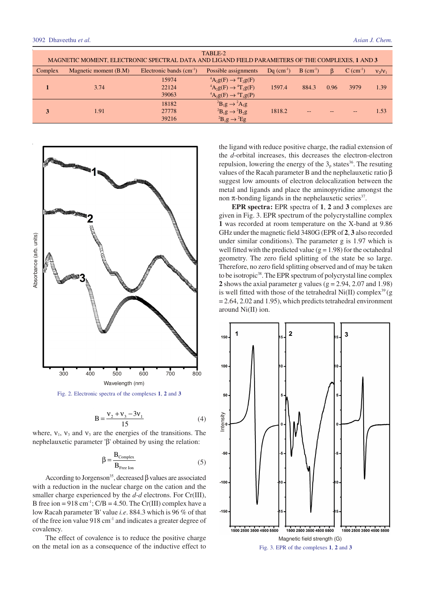| TABLE-2<br>MAGNETIC MOMENT, ELECTRONIC SPECTRAL DATA AND LIGAND FIELD PARAMETERS OF THE COMPLEXES, 1 AND 3 |                       |                           |                                                                                                                                                                                                             |                          |                         |              |                         |           |
|------------------------------------------------------------------------------------------------------------|-----------------------|---------------------------|-------------------------------------------------------------------------------------------------------------------------------------------------------------------------------------------------------------|--------------------------|-------------------------|--------------|-------------------------|-----------|
| Complex                                                                                                    | Magnetic moment (B.M) | Electronic bands $(cm-1)$ | Possible assignments                                                                                                                                                                                        | $Dq$ (cm <sup>-1</sup> ) | $B$ (cm <sup>-1</sup> ) | <sub>B</sub> | $C$ (cm <sup>-1</sup> ) | $v_2/v_1$ |
|                                                                                                            | 3.74                  | 15974<br>22124<br>39063   | <sup>4</sup> A <sub>2</sub> g(F) $\rightarrow$ <sup>4</sup> T <sub>2</sub> g(F)<br>${}^4A_2g(F) \rightarrow {}^4T_1g(F)$<br><sup>4</sup> A <sub>2</sub> g(F) $\rightarrow$ <sup>4</sup> T <sub>1</sub> g(P) | 1597.4                   | 884.3                   | 0.96         | 3979                    | 1.39      |
|                                                                                                            | 1.91                  | 18182<br>27778<br>39216   | ${}^{2}B_{1}g \rightarrow {}^{2}A_{1}g$<br>${}^{2}B_{1}g \rightarrow {}^{2}B_{2}g$<br>${}^{2}B_{1}g \rightarrow {}^{2}Eg$                                                                                   | 1818.2                   |                         |              |                         | 1.53      |



$$
B = \frac{v_2 + v_3 - 3v_1}{15}
$$
 (4)

where,  $v_1$ ,  $v_3$  and  $v_3$  are the energies of the transitions. The nephelauxetic parameter 'β' obtained by using the relation:

$$
\beta = \frac{\text{B}_{\text{Complex}}}{\text{B}_{\text{Free Ion}}} \tag{5}
$$

According to Jorgenson<sup>35</sup>, decreased  $\beta$  values are associated with a reduction in the nuclear charge on the cation and the smaller charge experienced by the *d-d* electrons. For Cr(III), B free ion =  $918 \text{ cm}^{-1}$ ; C/B = 4.50. The Cr(III) complex have a low Racah parameter 'B' value *i.e*. 884.3 which is 96 % of that of the free ion value  $918 \text{ cm}^{-1}$  and indicates a greater degree of covalency.

The effect of covalence is to reduce the positive charge on the metal ion as a consequence of the inductive effect to the ligand with reduce positive charge, the radial extension of the *d*-orbital increases, this decreases the electron-electron repulsion, lowering the energy of the  $3<sub>p</sub>$  states<sup>36</sup>. The resuting values of the Racah parameter B and the nephelauxetic ratio β suggest low amounts of electron delocalization between the metal and ligands and place the aminopyridine amongst the non  $\pi$ -bonding ligands in the nephelauxetic series<sup>37</sup>.

**EPR spectra:** EPR spectra of **1**, **2** and **3** complexes are given in Fig. 3. EPR spectrum of the polycrystalline complex **1** was recorded at room temperature on the X-band at 9.86 GHz under the magnetic field 3480G (EPR of **2**, **3** also recorded under similar conditions). The parameter g is 1.97 which is well fitted with the predicted value ( $g = 1.98$ ) for the octahedral geometry. The zero field splitting of the state be so large. Therefore, no zero field splitting observed and of may be taken to be isotropic<sup>38</sup>. The EPR spectrum of polycrystal line complex **2** shows the axial parameter g values ( $g = 2.94$ , 2.07 and 1.98) is well fitted with those of the tetrahedral  $Ni(II)$  complex<sup>39</sup> $(g)$  $= 2.64$ , 2.02 and 1.95), which predicts tetrahedral environment around Ni(II) ion.

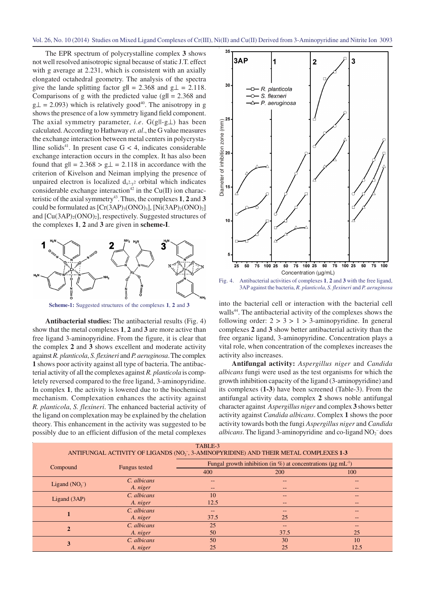The EPR spectrum of polycrystalline complex **3** shows not well resolved anisotropic signal because of static J.T. effect with g average at 2.231, which is consistent with an axially elongated octahedral geometry. The analysis of the spectra give the lande splitting factor g $\| = 2.368$  and g $\bot = 2.118$ . Comparisons of g with the predicted value (g**||** = 2.368 and  $g\perp$  = 2.093) which is relatively good<sup>40</sup>. The anisotropy in g shows the presence of a low symmetry ligand field component. The axial symmetry parameter, *i.e*. G(g||-g⊥) has been calculated. According to Hathaway *et. al*., the G value measures the exchange interaction between metal centers in polycrystalline solids<sup>41</sup>. In present case  $G < 4$ , indicates considerable exchange interaction occurs in the complex. It has also been found that g $|| = 2.368 > g\bot = 2.118$  in accordance with the criterion of Kivelson and Neiman implying the presence of unpaired electron is localized  $d_{x^2-y^2}$  orbital which indicates considerable exchange interaction<sup>42</sup> in the Cu(II) ion characteristic of the axial symmetry 43 . Thus, the complexes **1**, **2** and **3** could be formulated as  $[Cr(3AP)_3(ONO)_3]$ ,  $[Ni(3AP)_2(ONO)_2]$ and  $[Cu(3AP)<sub>2</sub>(ONO)<sub>2</sub>]$ , respectively. Suggested structures of the complexes **1**, **2** and **3** are given in **scheme-I**.



**Scheme-1:** Suggested structures of the complexes **1**, **2** and **3**

**Antibacterial studies:** The antibacterial results (Fig. 4) show that the metal complexes **1**, **2** and **3** are more active than free ligand 3-aminopyridine. From the figure, it is clear that the complex **2** and **3** shows excellent and moderate activity against *R. planticola*, *S. flexineri* and *P. aeruginosa*. The complex **1** shows poor activity against all type of bacteria. The antibacterial activity of all the complexes against *R. planticola* is completely reversed compared to the free ligand, 3-aminopyridine. In complex **1**, the activity is lowered due to the biochemical mechanism. Complexation enhances the activity against *R. planticola*, *S. flexineri*. The enhanced bacterial activity of the ligand on complexation may be explained by the chelation theory. This enhancement in the activity was suggested to be possibly due to an efficient diffusion of the metal complexes



Fig. 4. Antibacterial activities of complexes **1**, **2** and **3** with the free ligand, 3AP against the bacteria, *R. planticola*, *S. flexineri* and *P. aeruginosa*

into the bacterial cell or interaction with the bacterial cell walls<sup>44</sup>. The antibacterial activity of the complexes shows the following order:  $2 > 3 > 1 > 3$ -aminopyridine. In general complexes **2** and **3** show better antibacterial activity than the free organic ligand, 3-aminopyridine. Concentration plays a vital role, when concentration of the complexes increases the activity also increases.

**Antifungal activity:** *Aspergillus niger* and *Candida albicans* fungi were used as the test organisms for which the growth inhibition capacity of the ligand (3-aminopyridine) and its complexes (**1-3**) have been screened (Table-3). From the antifungal activity data, complex **2** shows noble antifungal character against *Aspergillus niger* and complex **3** shows better activity against *Candida albicans*. Complex **1** shows the poor activity towards both the fungi *Aspergillus niger* and *Candida* albicans. The ligand 3-aminopyridine and co-ligand NO<sub>2</sub><sup>-</sup>does

| TABLE-3<br>ANTIFUNGAL ACTIVITY OF LIGANDS (NO <sub>7</sub> , 3-AMINOPYRIDINE) AND THEIR METAL COMPLEXES 1-3 |               |                                                                                |            |       |  |  |
|-------------------------------------------------------------------------------------------------------------|---------------|--------------------------------------------------------------------------------|------------|-------|--|--|
| Compound                                                                                                    | Fungus tested | Fungal growth inhibition (in %) at concentrations ( $\mu$ g mL <sup>-1</sup> ) |            |       |  |  |
|                                                                                                             |               | 400                                                                            | <b>200</b> | 100   |  |  |
| Ligand $(NO2)$                                                                                              | C. albicans   | --                                                                             | --         | --    |  |  |
|                                                                                                             | A. niger      | --                                                                             | $--$       | --    |  |  |
| Ligand $(3AP)$                                                                                              | C. albicans   | 10                                                                             | --         | --    |  |  |
|                                                                                                             | A. niger      | 12.5                                                                           | --         | $- -$ |  |  |
|                                                                                                             | C. albicans   | --                                                                             | --         | --    |  |  |
|                                                                                                             | A. niger      | 37.5                                                                           | 25         | --    |  |  |
| $\mathcal{D}$                                                                                               | C. albicans   | 25                                                                             | --         | $- -$ |  |  |
|                                                                                                             | A. niger      | 50                                                                             | 37.5       | 25    |  |  |
| 3                                                                                                           | C. albicans   | 50                                                                             | 30         | 10    |  |  |
|                                                                                                             | A. niger      | 25                                                                             | 25         | 12.5  |  |  |